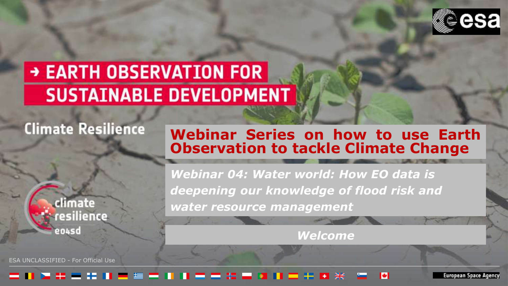

# → EARTH OBSERVATION FOR **SUSTAINABLE DEVELOPMENT**

### **Climate Resilience**



ESA UNCLASSIFIED - For Official Use

### **Webinar Series on how to use Earth Observation to tackle Climate Change**

*Webinar 04: Water world: How EO data is deepening our knowledge of flood risk and water resource management*

*Welcome*

#### . . . . -----▄▗▖▗▗ ы \*\* <del>\*\*</del> 11 F

European Space Agency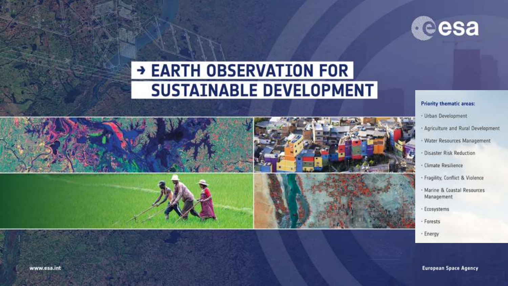

# → EARTH OBSERVATION FOR<br>SUSTAINABLE DEVELOPMENT



#### **Priority thematic areas:**

- Urban Development
- Agriculture and Rural Development
- · Water Resources Management
- Disaster Risk Reduction
- · Climate Resilience
- Fragility, Conflict & Violence
- · Marine & Coastal Resources Management
- Ecosystems
- Forests
- Energy

**European Space Agency**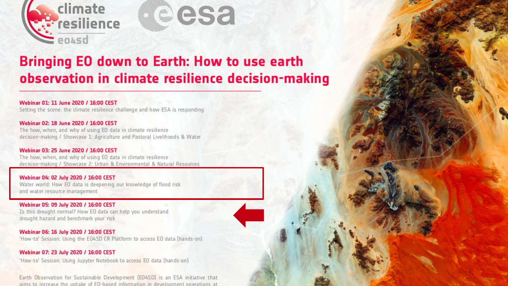

### Bringing EO down to Earth: How to use earth observation in climate resilience decision-making

Webinar 01: 11 June 2020 / 16:00 CEST Setting the scene: the climate resilience challenge and how ESA is responding

Webinar 02: 18 June 2020 / 16:00 CEST The how, when, and why of using EO data in climate resilience decision-making / Showcase 1: Agriculture and Pastoral Livelihoods & Water

Webinar 03: 25 June 2020 / 16:00 CEST The how, when, and why of using EO data in climate resilience decision-making / Showcase 2: Urban & Environmental & Natural Resources

Webinar 04: 02 July 2020 / 16:00 CEST Water world: How EO data is deepening our knowledge of flood risk and water resource management

Webinar 05: 09 July 2020 / 16:00 CEST Is this drought normal? How EO data can help you understand drought hazard and benchmark your risk

Webinar 06: 16 July 2020 / 16:00 CEST 'How-to' Session: Using the E04SD CR Platform to access EO data [hands-on]

Webinar 07: 23 July 2020 / 16:00 CEST

'How-to' Session: Using Jupyter Notebook to access EO data [hands-on]

Earth Observation for Sustainable Development (EO4SD) is an ESA initiative that aims to increase the untake of EQ-based information in development operations at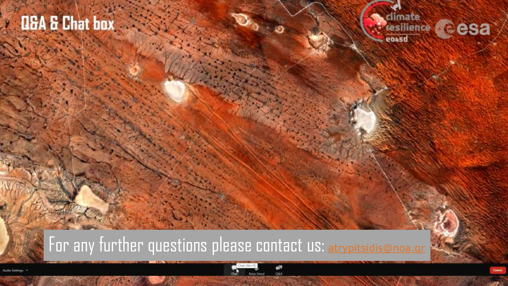# **ED5A & Chat box**

**Webinar - Housekeeping**

**- Interaction with participants (Q&A)**

**will the second as we can as we can as we can as we can as we can as we can as we can as we can assume that we can** 

 $\mathbf{R}$ 



## For any further questions please contact us: [atrypitsidis@noa.gr](mailto:atrypitsidis@noa.gr)

 $\mathbf{r} = \mathbf{r} \times \mathbf{r}$ 

 $\mathcal{L} = \{X \mid X \leq \mathcal{L}\}$ 

**- Webinars will be recorded & executed through Zoom Webinar**

ESA UNCLASSIFIED - FOR OFFICIAL USE EN LA SERIES - FOR OFFICIAL USE EN LA SERIES EN LA SERIES EN LA SERIES EN LA SERIES EN LA SERIES EN LA SERIES EN LA SERIES EN LA SERIES EN LA SERIES EN LA SERIES EN LA SERIE DE LA SERIE

Author Settings 14